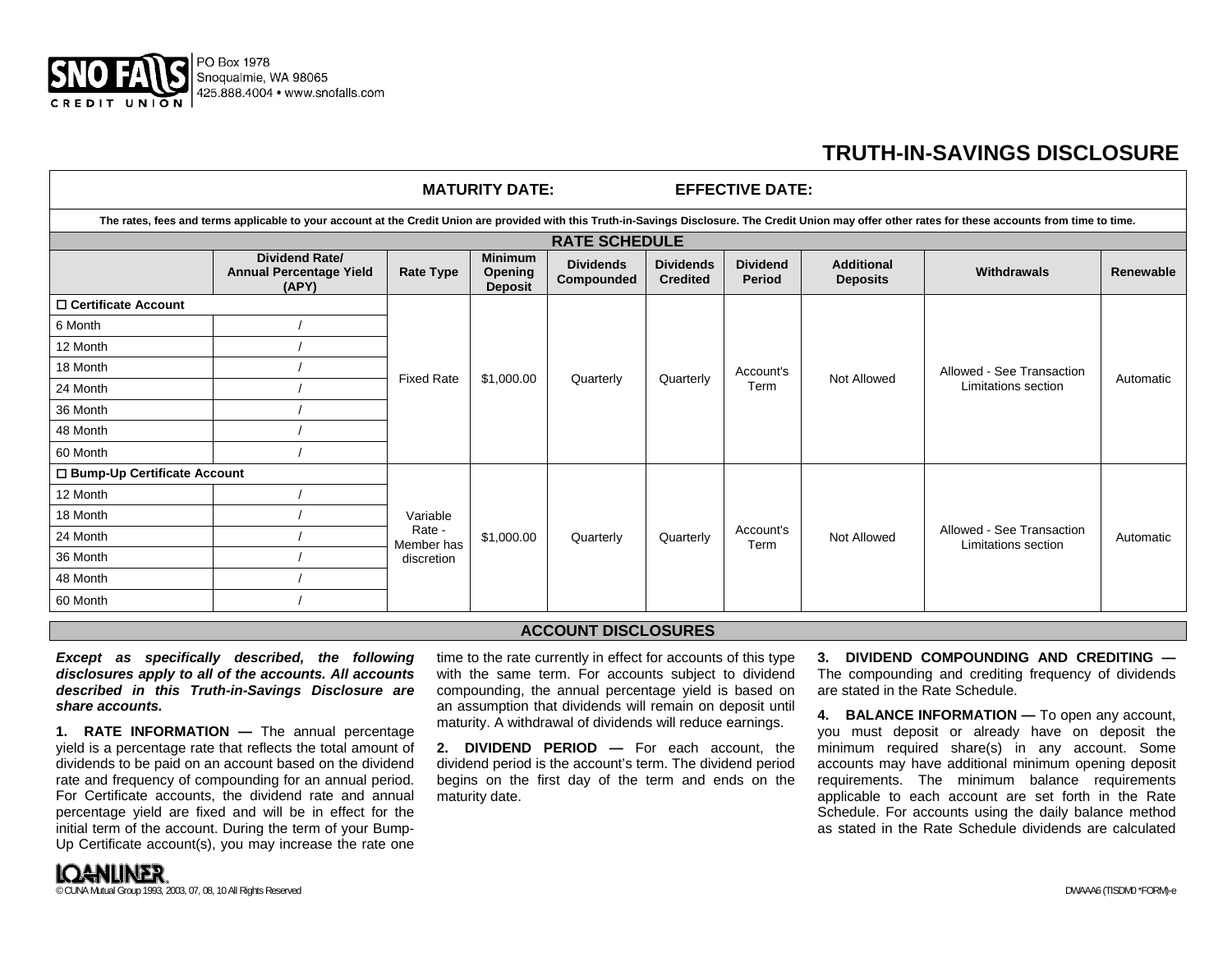

## **TRUTH-IN-SAVINGS DISCLOSURE**

| <b>MATURITY DATE:</b>                                                                                                                                                                                     |                                                                  |                                                |                                                    | <b>EFFECTIVE DATE:</b>         |                                     |                                  |                                      |                                                  |           |
|-----------------------------------------------------------------------------------------------------------------------------------------------------------------------------------------------------------|------------------------------------------------------------------|------------------------------------------------|----------------------------------------------------|--------------------------------|-------------------------------------|----------------------------------|--------------------------------------|--------------------------------------------------|-----------|
| The rates, fees and terms applicable to your account at the Credit Union are provided with this Truth-in-Savings Disclosure. The Credit Union may offer other rates for these accounts from time to time. |                                                                  |                                                |                                                    |                                |                                     |                                  |                                      |                                                  |           |
| <b>RATE SCHEDULE</b>                                                                                                                                                                                      |                                                                  |                                                |                                                    |                                |                                     |                                  |                                      |                                                  |           |
|                                                                                                                                                                                                           | <b>Dividend Rate/</b><br><b>Annual Percentage Yield</b><br>(APY) | <b>Rate Type</b>                               | <b>Minimum</b><br><b>Opening</b><br><b>Deposit</b> | <b>Dividends</b><br>Compounded | <b>Dividends</b><br><b>Credited</b> | <b>Dividend</b><br><b>Period</b> | <b>Additional</b><br><b>Deposits</b> | Withdrawals                                      | Renewable |
| □ Certificate Account                                                                                                                                                                                     |                                                                  |                                                |                                                    |                                |                                     |                                  |                                      |                                                  |           |
| 6 Month                                                                                                                                                                                                   |                                                                  | <b>Fixed Rate</b>                              | \$1,000.00                                         | Quarterly                      | Quarterly                           | Account's<br>Term                | Not Allowed                          | Allowed - See Transaction<br>Limitations section | Automatic |
| 12 Month                                                                                                                                                                                                  |                                                                  |                                                |                                                    |                                |                                     |                                  |                                      |                                                  |           |
| 18 Month                                                                                                                                                                                                  |                                                                  |                                                |                                                    |                                |                                     |                                  |                                      |                                                  |           |
| 24 Month                                                                                                                                                                                                  |                                                                  |                                                |                                                    |                                |                                     |                                  |                                      |                                                  |           |
| 36 Month                                                                                                                                                                                                  |                                                                  |                                                |                                                    |                                |                                     |                                  |                                      |                                                  |           |
| 48 Month                                                                                                                                                                                                  |                                                                  |                                                |                                                    |                                |                                     |                                  |                                      |                                                  |           |
| 60 Month                                                                                                                                                                                                  |                                                                  |                                                |                                                    |                                |                                     |                                  |                                      |                                                  |           |
| □ Bump-Up Certificate Account                                                                                                                                                                             |                                                                  |                                                |                                                    |                                |                                     |                                  |                                      |                                                  |           |
| 12 Month                                                                                                                                                                                                  |                                                                  | Variable<br>Rate -<br>Member has<br>discretion | \$1,000.00                                         | Quarterly                      | Quarterly                           | Account's<br>Term                | Not Allowed                          | Allowed - See Transaction<br>Limitations section | Automatic |
| 18 Month                                                                                                                                                                                                  |                                                                  |                                                |                                                    |                                |                                     |                                  |                                      |                                                  |           |
| 24 Month                                                                                                                                                                                                  |                                                                  |                                                |                                                    |                                |                                     |                                  |                                      |                                                  |           |
| 36 Month                                                                                                                                                                                                  |                                                                  |                                                |                                                    |                                |                                     |                                  |                                      |                                                  |           |
| 48 Month                                                                                                                                                                                                  |                                                                  |                                                |                                                    |                                |                                     |                                  |                                      |                                                  |           |
| 60 Month                                                                                                                                                                                                  |                                                                  |                                                |                                                    |                                |                                     |                                  |                                      |                                                  |           |

## **ACCOUNT DISCLOSURES**

*Except as specifically described, the following disclosures apply to all of the accounts. All accounts described in this Truth-in-Savings Disclosure are share accounts.* 

**1. RATE INFORMATION —** The annual percentage yield is a percentage rate that reflects the total amount of dividends to be paid on an account based on the dividend rate and frequency of compounding for an annual period. For Certificate accounts, the dividend rate and annual percentage yield are fixed and will be in effect for the initial term of the account. During the term of your Bump-Up Certificate account(s), you may increase the rate one

time to the rate currently in effect for accounts of this type with the same term. For accounts subject to dividend compounding, the annual percentage yield is based on an assumption that dividends will remain on deposit until maturity. A withdrawal of dividends will reduce earnings.

**2. DIVIDEND PERIOD —** For each account, the dividend period is the account's term. The dividend period begins on the first day of the term and ends on the maturity date.

**3. DIVIDEND COMPOUNDING AND CREDITING —**The compounding and crediting frequency of dividends are stated in the Rate Schedule.

**4. BALANCE INFORMATION —** To open any account, you must deposit or already have on deposit the minimum required share(s) in any account. Some accounts may have additional minimum opening deposit requirements. The minimum balance requirements applicable to each account are set forth in the Rate Schedule. For accounts using the daily balance method as stated in the Rate Schedule dividends are calculated